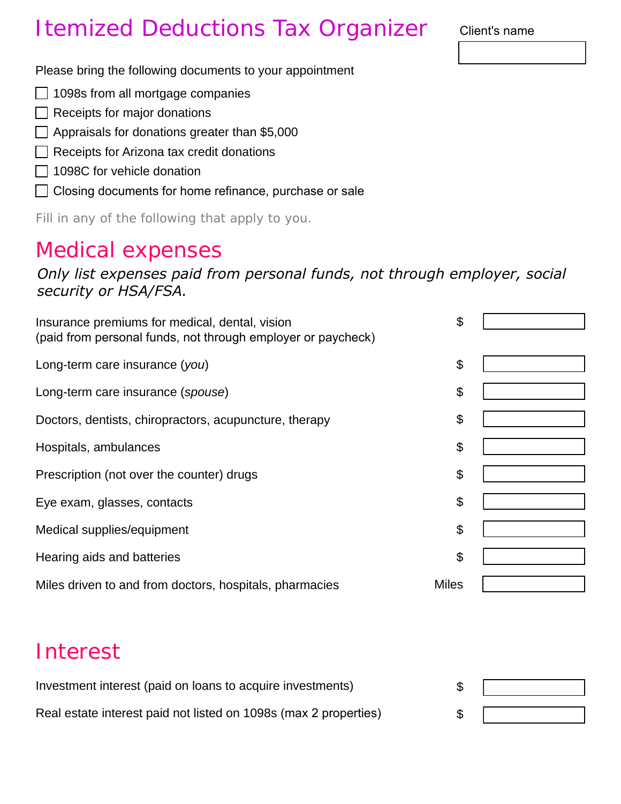## Itemized Deductions Tax Organizer

Client's name

Please bring the following documents to your appointment

- □ 1098s from all mortgage companies
- $\Box$  Receipts for major donations
- $\Box$  Appraisals for donations greater than \$5,000
- Receipts for Arizona tax credit donations
- $\Box$  1098C for vehicle donation
- $\Box$  Closing documents for home refinance, purchase or sale

Fill in any of the following that apply to you.

## Medical expenses

*Only list expenses paid from personal funds, not through employer, social security or HSA/FSA.*

| Insurance premiums for medical, dental, vision<br>(paid from personal funds, not through employer or paycheck) | \$           |  |
|----------------------------------------------------------------------------------------------------------------|--------------|--|
| Long-term care insurance (you)                                                                                 | \$           |  |
| Long-term care insurance (spouse)                                                                              | \$           |  |
| Doctors, dentists, chiropractors, acupuncture, therapy                                                         | \$           |  |
| Hospitals, ambulances                                                                                          | \$           |  |
| Prescription (not over the counter) drugs                                                                      | \$           |  |
| Eye exam, glasses, contacts                                                                                    | \$           |  |
| Medical supplies/equipment                                                                                     | \$           |  |
| Hearing aids and batteries                                                                                     | \$           |  |
| Miles driven to and from doctors, hospitals, pharmacies                                                        | <b>Miles</b> |  |

## Interest

| Investment interest (paid on loans to acquire investments)       |  |
|------------------------------------------------------------------|--|
|                                                                  |  |
| Real estate interest paid not listed on 1098s (max 2 properties) |  |